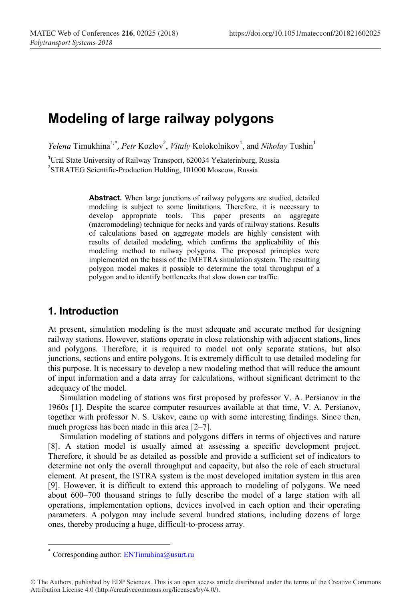# **Modeling of large railway polygons**

*Yelena* Timukhina<sup>1,\*</sup>, *Petr* Kozlov<sup>2</sup>, *Vitaly* Kolokolnikov<sup>1</sup>, and *Nikolay* Tushin<sup>1</sup>

<sup>1</sup>Ural State University of Railway Transport, 620034 Yekaterinburg, Russia <sup>2</sup>STRATEG Scientific-Production Holding, 101000 Moscow, Russia

> **Abstract.** When large junctions of railway polygons are studied, detailed modeling is subject to some limitations. Therefore, it is necessary to develop appropriate tools. This paper presents an aggregate (macromodeling) technique for necks and yards of railway stations. Results of calculations based on aggregate models are highly consistent with results of detailed modeling, which confirms the applicability of this modeling method to railway polygons. The proposed principles were implemented on the basis of the IMETRA simulation system. The resulting polygon model makes it possible to determine the total throughput of a polygon and to identify bottlenecks that slow down car traffic.

## **1. Introduction**

At present, simulation modeling is the most adequate and accurate method for designing railway stations. However, stations operate in close relationship with adjacent stations, lines and polygons. Therefore, it is required to model not only separate stations, but also junctions, sections and entire polygons. It is extremely difficult to use detailed modeling for this purpose. It is necessary to develop a new modeling method that will reduce the amount of input information and a data array for calculations, without significant detriment to the adequacy of the model.

Simulation modeling of stations was first proposed by professor V. A. Persianov in the 1960s [1]. Despite the scarce computer resources available at that time, V. A. Persianov, together with professor N. S. Uskov, came up with some interesting findings. Since then, much progress has been made in this area [2–7].

Simulation modeling of stations and polygons differs in terms of objectives and nature [8]. A station model is usually aimed at assessing a specific development project. Therefore, it should be as detailed as possible and provide a sufficient set of indicators to determine not only the overall throughput and capacity, but also the role of each structural element. At present, the ISTRA system is the most developed imitation system in this area [9]. However, it is difficult to extend this approach to modeling of polygons. We need about 600–700 thousand strings to fully describe the model of a large station with all operations, implementation options, devices involved in each option and their operating parameters. A polygon may include several hundred stations, including dozens of large ones, thereby producing a huge, difficult-to-process array.

 <sup>\*</sup> Corresponding author: ENTimuhina@usurt.ru

<sup>©</sup> The Authors, published by EDP Sciences. This is an open access article distributed under the terms of the Creative Commons Attribution License 4.0 (http://creativecommons.org/licenses/by/4.0/).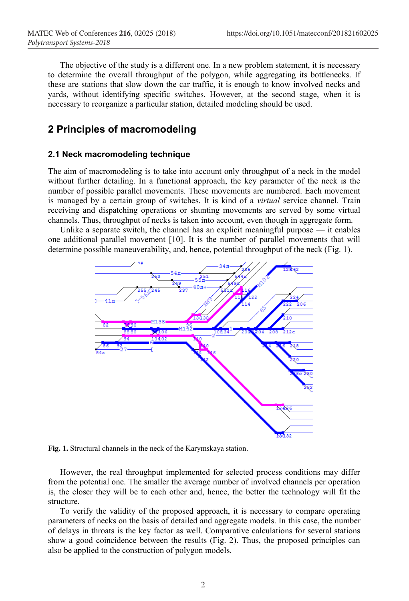The objective of the study is a different one. In a new problem statement, it is necessary to determine the overall throughput of the polygon, while aggregating its bottlenecks. If these are stations that slow down the car traffic, it is enough to know involved necks and yards, without identifying specific switches. However, at the second stage, when it is necessary to reorganize a particular station, detailed modeling should be used.

## **2 Principles of macromodeling**

#### **2.1 Neck macromodeling technique**

The aim of macromodeling is to take into account only throughput of a neck in the model without further detailing. In a functional approach, the key parameter of the neck is the number of possible parallel movements. These movements are numbered. Each movement is managed by a certain group of switches. It is kind of a *virtual* service channel. Train receiving and dispatching operations or shunting movements are served by some virtual channels. Thus, throughput of necks is taken into account, even though in aggregate form.

Unlike a separate switch, the channel has an explicit meaningful purpose  $-$  it enables one additional parallel movement [10]. It is the number of parallel movements that will determine possible maneuverability, and, hence, potential throughput of the neck (Fig. 1).



**Fig. 1.** Structural channels in the neck of the Karymskaya station.

However, the real throughput implemented for selected process conditions may differ from the potential one. The smaller the average number of involved channels per operation is, the closer they will be to each other and, hence, the better the technology will fit the structure.

To verify the validity of the proposed approach, it is necessary to compare operating parameters of necks on the basis of detailed and aggregate models. In this case, the number of delays in throats is the key factor as well. Comparative calculations for several stations show a good coincidence between the results (Fig. 2). Thus, the proposed principles can also be applied to the construction of polygon models.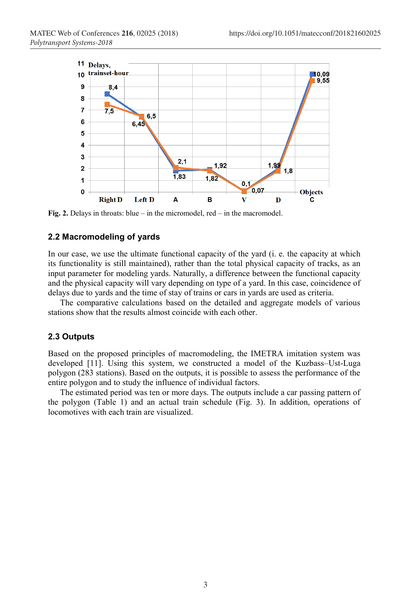

**Fig. 2.** Delays in throats: blue – in the micromodel, red – in the macromodel.

#### **2.2 Macromodeling of yards**

In our case, we use the ultimate functional capacity of the yard (i. e. the capacity at which its functionality is still maintained), rather than the total physical capacity of tracks, as an input parameter for modeling yards. Naturally, a difference between the functional capacity and the physical capacity will vary depending on type of a yard. In this case, coincidence of delays due to yards and the time of stay of trains or cars in yards are used as criteria.

The comparative calculations based on the detailed and aggregate models of various stations show that the results almost coincide with each other.

### **2.3 Outputs**

Based on the proposed principles of macromodeling, the IMETRA imitation system was developed [11]. Using this system, we constructed a model of the Kuzbass–Ust-Luga polygon (283 stations). Based on the outputs, it is possible to assess the performance of the entire polygon and to study the influence of individual factors.

The estimated period was ten or more days. The outputs include a car passing pattern of the polygon (Table 1) and an actual train schedule (Fig. 3). In addition, operations of locomotives with each train are visualized.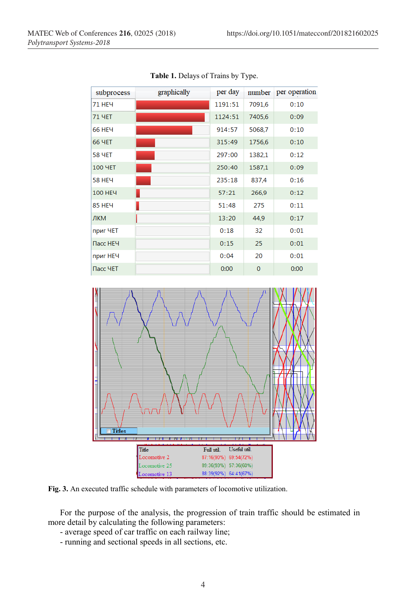| subprocess      | graphically | per day | number       | per operation |
|-----------------|-------------|---------|--------------|---------------|
| 71 HEY          |             | 1191:51 | 7091,6       | 0:10          |
| 71 YET          |             | 1124:51 | 7405,6       | 0:09          |
| <b>66 HEY</b>   |             | 914:57  | 5068,7       | 0:10          |
| 66 <b>HET</b>   |             | 315:49  | 1756,6       | 0:10          |
| <b>58 ЧЕТ</b>   |             | 297:00  | 1382,1       | 0:12          |
| <b>100 ЧЕТ</b>  |             | 250:40  | 1587,1       | 0:09          |
| <b>58 HEY</b>   |             | 235:18  | 837,4        | 0:16          |
| 100 HEY         |             | 57:21   | 266,9        | 0:12          |
| <b>85 HEY</b>   |             | 51:48   | 275          | 0:11          |
| ЛКМ             |             | 13:20   | 44,9         | 0:17          |
| приг ЧЕТ        |             | 0:18    | 32           | 0:01          |
| <b>Nacc HEY</b> |             | 0:15    | 25           | 0:01          |
| приг НЕЧ        |             | 0:04    | 20           | 0:01          |
| <b>Nacc YET</b> |             | 0:00    | $\mathbf{O}$ | 0:00          |
|                 |             |         |              |               |

**Table 1.** Delays of Trains by Type.



**Fig. 3.** An executed traffic schedule with parameters of locomotive utilization.

For the purpose of the analysis, the progression of train traffic should be estimated in more detail by calculating the following parameters:

- average speed of car traffic on each railway line;
- running and sectional speeds in all sections, etc.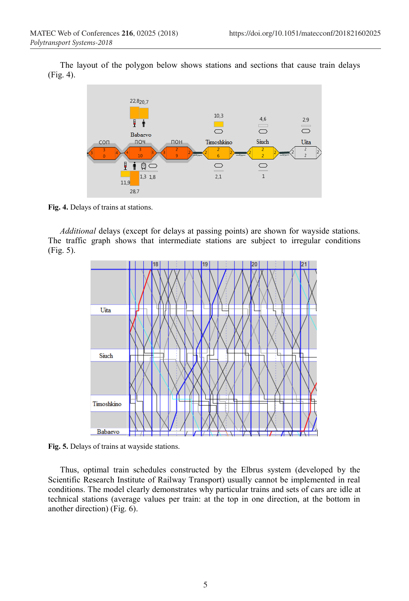The layout of the polygon below shows stations and sections that cause train delays (Fig. 4).



**Fig. 4.** Delays of trains at stations.

*Additional* delays (except for delays at passing points) are shown for wayside stations. The traffic graph shows that intermediate stations are subject to irregular conditions (Fig. 5).



**Fig. 5.** Delays of trains at wayside stations.

Thus, optimal train schedules constructed by the Elbrus system (developed by the Scientific Research Institute of Railway Transport) usually cannot be implemented in real conditions. The model clearly demonstrates why particular trains and sets of cars are idle at technical stations (average values per train: at the top in one direction, at the bottom in another direction) (Fig. 6).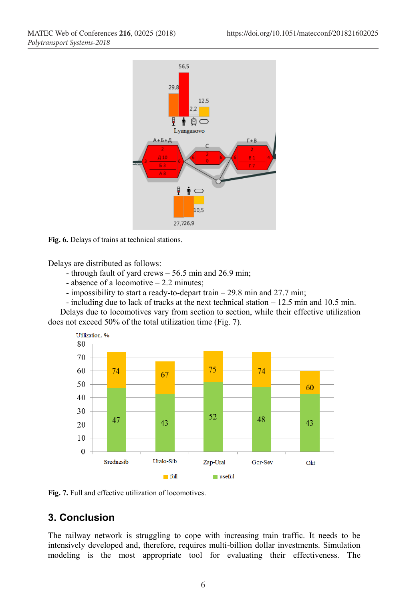

**Fig. 6.** Delays of trains at technical stations.

Delays are distributed as follows:

- through fault of yard crews 56.5 min and 26.9 min;
- absence of a locomotive 2.2 minutes;
- impossibility to start a ready-to-depart train 29.8 min and 27.7 min;
- including due to lack of tracks at the next technical station 12.5 min and 10.5 min.

Delays due to locomotives vary from section to section, while their effective utilization does not exceed 50% of the total utilization time (Fig. 7).



**Fig. 7.** Full and effective utilization of locomotives.

## **3. Conclusion**

The railway network is struggling to cope with increasing train traffic. It needs to be intensively developed and, therefore, requires multi-billion dollar investments. Simulation modeling is the most appropriate tool for evaluating their effectiveness. The